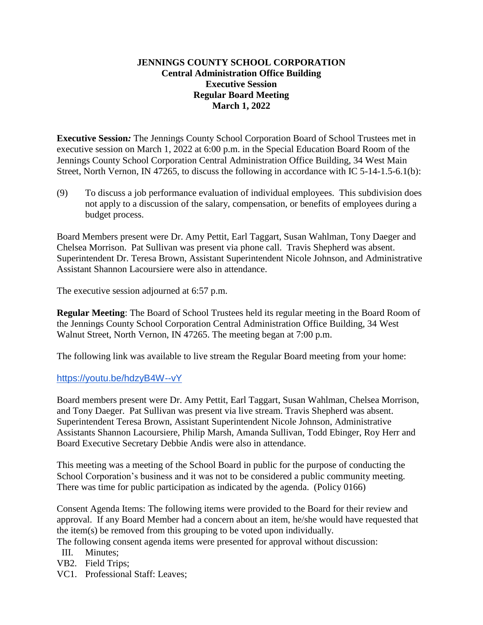### **JENNINGS COUNTY SCHOOL CORPORATION Central Administration Office Building Executive Session Regular Board Meeting March 1, 2022**

**Executive Session***:* The Jennings County School Corporation Board of School Trustees met in executive session on March 1, 2022 at 6:00 p.m. in the Special Education Board Room of the Jennings County School Corporation Central Administration Office Building, 34 West Main Street, North Vernon, IN 47265, to discuss the following in accordance with IC 5-14-1.5-6.1(b):

(9) To discuss a job performance evaluation of individual employees. This subdivision does not apply to a discussion of the salary, compensation, or benefits of employees during a budget process.

Board Members present were Dr. Amy Pettit, Earl Taggart, Susan Wahlman, Tony Daeger and Chelsea Morrison. Pat Sullivan was present via phone call. Travis Shepherd was absent. Superintendent Dr. Teresa Brown, Assistant Superintendent Nicole Johnson, and Administrative Assistant Shannon Lacoursiere were also in attendance.

The executive session adjourned at 6:57 p.m.

**Regular Meeting**: The Board of School Trustees held its regular meeting in the Board Room of the Jennings County School Corporation Central Administration Office Building, 34 West Walnut Street, North Vernon, IN 47265. The meeting began at 7:00 p.m.

The following link was available to live stream the Regular Board meeting from your home:

### https://youtu.be/hdzyB4W--vY

Board members present were Dr. Amy Pettit, Earl Taggart, Susan Wahlman, Chelsea Morrison, and Tony Daeger. Pat Sullivan was present via live stream. Travis Shepherd was absent. Superintendent Teresa Brown, Assistant Superintendent Nicole Johnson, Administrative Assistants Shannon Lacoursiere, Philip Marsh, Amanda Sullivan, Todd Ebinger, Roy Herr and Board Executive Secretary Debbie Andis were also in attendance.

This meeting was a meeting of the School Board in public for the purpose of conducting the School Corporation's business and it was not to be considered a public community meeting. There was time for public participation as indicated by the agenda. (Policy 0166)

Consent Agenda Items: The following items were provided to the Board for their review and approval. If any Board Member had a concern about an item, he/she would have requested that the item(s) be removed from this grouping to be voted upon individually.

The following consent agenda items were presented for approval without discussion:

- III. Minutes;
- VB2. Field Trips;
- VC1. Professional Staff: Leaves;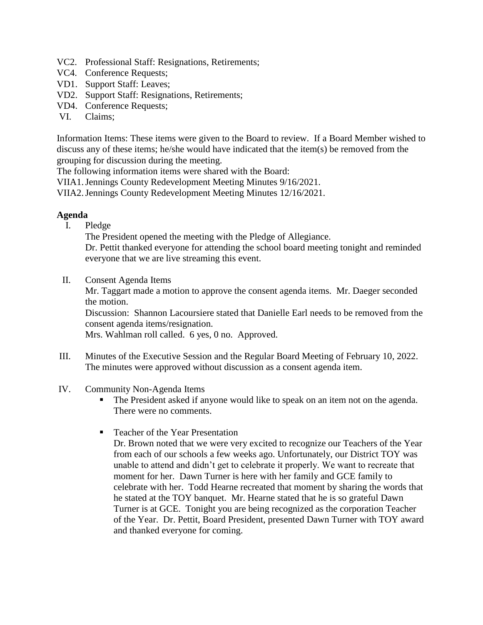- VC2. Professional Staff: Resignations, Retirements;
- VC4. Conference Requests;
- VD1. Support Staff: Leaves;
- VD2. Support Staff: Resignations, Retirements;
- VD4. Conference Requests;
- VI. Claims;

Information Items: These items were given to the Board to review. If a Board Member wished to discuss any of these items; he/she would have indicated that the item(s) be removed from the grouping for discussion during the meeting.

The following information items were shared with the Board:

VIIA1.Jennings County Redevelopment Meeting Minutes 9/16/2021.

VIIA2.Jennings County Redevelopment Meeting Minutes 12/16/2021.

### **Agenda**

I. Pledge

The President opened the meeting with the Pledge of Allegiance.

Dr. Pettit thanked everyone for attending the school board meeting tonight and reminded everyone that we are live streaming this event.

II. Consent Agenda Items

Mr. Taggart made a motion to approve the consent agenda items. Mr. Daeger seconded the motion.

Discussion: Shannon Lacoursiere stated that Danielle Earl needs to be removed from the consent agenda items/resignation.

Mrs. Wahlman roll called. 6 yes, 0 no. Approved.

- III. Minutes of the Executive Session and the Regular Board Meeting of February 10, 2022. The minutes were approved without discussion as a consent agenda item.
- IV. Community Non-Agenda Items
	- The President asked if anyone would like to speak on an item not on the agenda. There were no comments.
	- Teacher of the Year Presentation

Dr. Brown noted that we were very excited to recognize our Teachers of the Year from each of our schools a few weeks ago. Unfortunately, our District TOY was unable to attend and didn't get to celebrate it properly. We want to recreate that moment for her. Dawn Turner is here with her family and GCE family to celebrate with her. Todd Hearne recreated that moment by sharing the words that he stated at the TOY banquet. Mr. Hearne stated that he is so grateful Dawn Turner is at GCE. Tonight you are being recognized as the corporation Teacher of the Year. Dr. Pettit, Board President, presented Dawn Turner with TOY award and thanked everyone for coming.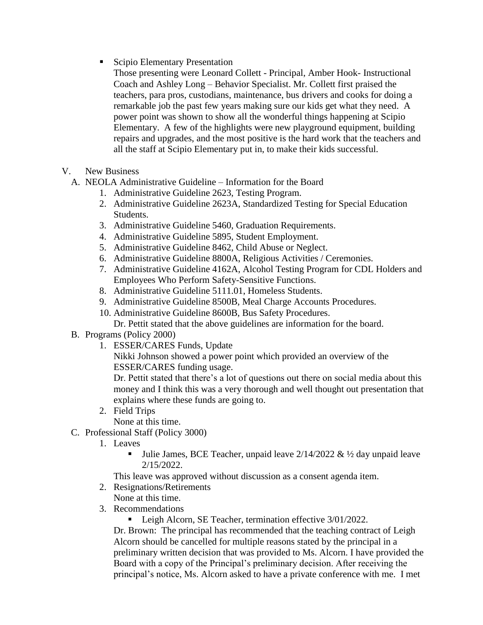■ Scipio Elementary Presentation

Those presenting were Leonard Collett - Principal, Amber Hook- Instructional Coach and Ashley Long – Behavior Specialist. Mr. Collett first praised the teachers, para pros, custodians, maintenance, bus drivers and cooks for doing a remarkable job the past few years making sure our kids get what they need. A power point was shown to show all the wonderful things happening at Scipio Elementary. A few of the highlights were new playground equipment, building repairs and upgrades, and the most positive is the hard work that the teachers and all the staff at Scipio Elementary put in, to make their kids successful.

- V. New Business
	- A. NEOLA Administrative Guideline Information for the Board
		- 1. Administrative Guideline 2623, Testing Program.
		- 2. Administrative Guideline 2623A, Standardized Testing for Special Education Students.
		- 3. Administrative Guideline 5460, Graduation Requirements.
		- 4. Administrative Guideline 5895, Student Employment.
		- 5. Administrative Guideline 8462, Child Abuse or Neglect.
		- 6. Administrative Guideline 8800A, Religious Activities / Ceremonies.
		- 7. Administrative Guideline 4162A, Alcohol Testing Program for CDL Holders and Employees Who Perform Safety-Sensitive Functions.
		- 8. Administrative Guideline 5111.01, Homeless Students.
		- 9. Administrative Guideline 8500B, Meal Charge Accounts Procedures.
		- 10. Administrative Guideline 8600B, Bus Safety Procedures.
		- Dr. Pettit stated that the above guidelines are information for the board.
	- B. Programs (Policy 2000)
		- 1. ESSER/CARES Funds, Update

Nikki Johnson showed a power point which provided an overview of the ESSER/CARES funding usage.

Dr. Pettit stated that there's a lot of questions out there on social media about this money and I think this was a very thorough and well thought out presentation that explains where these funds are going to.

2. Field Trips

None at this time.

- C. Professional Staff (Policy 3000)
	- 1. Leaves
		- Julie James, BCE Teacher, unpaid leave  $2/14/2022 \& ½$  day unpaid leave 2/15/2022.

This leave was approved without discussion as a consent agenda item.

- 2. Resignations/Retirements
	- None at this time.
- 3. Recommendations

■ Leigh Alcorn, SE Teacher, termination effective 3/01/2022.

Dr. Brown: The principal has recommended that the teaching contract of Leigh Alcorn should be cancelled for multiple reasons stated by the principal in a preliminary written decision that was provided to Ms. Alcorn. I have provided the Board with a copy of the Principal's preliminary decision. After receiving the principal's notice, Ms. Alcorn asked to have a private conference with me. I met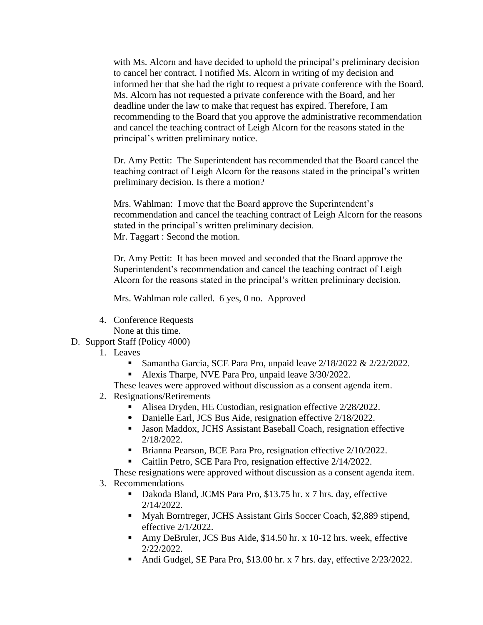with Ms. Alcorn and have decided to uphold the principal's preliminary decision to cancel her contract. I notified Ms. Alcorn in writing of my decision and informed her that she had the right to request a private conference with the Board. Ms. Alcorn has not requested a private conference with the Board, and her deadline under the law to make that request has expired. Therefore, I am recommending to the Board that you approve the administrative recommendation and cancel the teaching contract of Leigh Alcorn for the reasons stated in the principal's written preliminary notice.

Dr. Amy Pettit: The Superintendent has recommended that the Board cancel the teaching contract of Leigh Alcorn for the reasons stated in the principal's written preliminary decision. Is there a motion?

Mrs. Wahlman: I move that the Board approve the Superintendent's recommendation and cancel the teaching contract of Leigh Alcorn for the reasons stated in the principal's written preliminary decision. Mr. Taggart : Second the motion.

Dr. Amy Pettit: It has been moved and seconded that the Board approve the Superintendent's recommendation and cancel the teaching contract of Leigh Alcorn for the reasons stated in the principal's written preliminary decision.

Mrs. Wahlman role called. 6 yes, 0 no. Approved

- 4. Conference Requests None at this time.
- D. Support Staff (Policy 4000)
	- 1. Leaves
		- Samantha Garcia, SCE Para Pro, unpaid leave 2/18/2022 & 2/22/2022.
		- Alexis Tharpe, NVE Para Pro, unpaid leave 3/30/2022.

These leaves were approved without discussion as a consent agenda item.

- 2. Resignations/Retirements
	- Alisea Dryden, HE Custodian, resignation effective 2/28/2022.
	- **-** Danielle Earl, JCS Bus Aide, resignation effective 2/18/2022.
	- Jason Maddox, JCHS Assistant Baseball Coach, resignation effective 2/18/2022.
	- Brianna Pearson, BCE Para Pro, resignation effective 2/10/2022.
	- Caitlin Petro, SCE Para Pro, resignation effective 2/14/2022.

These resignations were approved without discussion as a consent agenda item.

- 3. Recommendations
	- Dakoda Bland, JCMS Para Pro, \$13.75 hr. x 7 hrs. day, effective 2/14/2022.
	- Myah Borntreger, JCHS Assistant Girls Soccer Coach, \$2,889 stipend, effective 2/1/2022.
	- Amy DeBruler, JCS Bus Aide, \$14.50 hr. x 10-12 hrs. week, effective 2/22/2022.
	- Andi Gudgel, SE Para Pro, \$13.00 hr. x 7 hrs. day, effective 2/23/2022.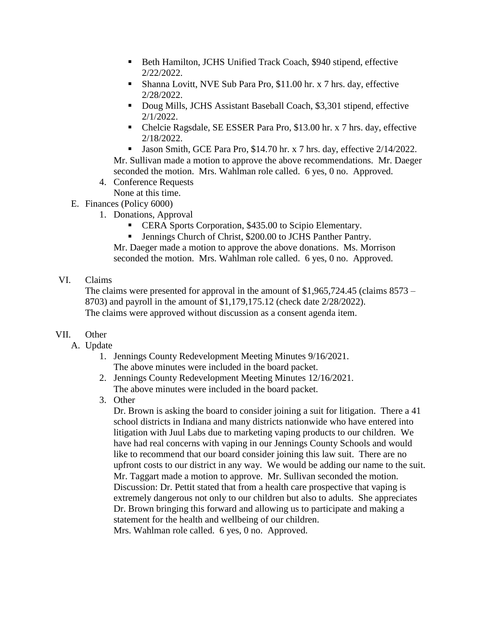- Beth Hamilton, JCHS Unified Track Coach, \$940 stipend, effective 2/22/2022.
- Shanna Lovitt, NVE Sub Para Pro, \$11.00 hr. x 7 hrs. day, effective 2/28/2022.
- Doug Mills, JCHS Assistant Baseball Coach, \$3,301 stipend, effective 2/1/2022.
- Chelcie Ragsdale, SE ESSER Para Pro, \$13.00 hr. x 7 hrs. day, effective 2/18/2022.
- I Jason Smith, GCE Para Pro, \$14.70 hr. x 7 hrs. day, effective  $2/14/2022$ .

Mr. Sullivan made a motion to approve the above recommendations. Mr. Daeger seconded the motion. Mrs. Wahlman role called. 6 yes, 0 no. Approved.

- 4. Conference Requests
- None at this time. E. Finances (Policy 6000)
	- - 1. Donations, Approval
			- **ERA Sports Corporation, \$435.00 to Scipio Elementary.**
			- Jennings Church of Christ, \$200.00 to JCHS Panther Pantry.

Mr. Daeger made a motion to approve the above donations. Ms. Morrison seconded the motion. Mrs. Wahlman role called. 6 yes, 0 no. Approved.

## VI. Claims

The claims were presented for approval in the amount of \$1,965,724.45 (claims 8573 – 8703) and payroll in the amount of \$1,179,175.12 (check date 2/28/2022). The claims were approved without discussion as a consent agenda item.

# VII. Other

- A. Update
	- 1. Jennings County Redevelopment Meeting Minutes 9/16/2021. The above minutes were included in the board packet.
	- 2. Jennings County Redevelopment Meeting Minutes 12/16/2021. The above minutes were included in the board packet.
	- 3. Other

Dr. Brown is asking the board to consider joining a suit for litigation. There a 41 school districts in Indiana and many districts nationwide who have entered into litigation with Juul Labs due to marketing vaping products to our children. We have had real concerns with vaping in our Jennings County Schools and would like to recommend that our board consider joining this law suit. There are no upfront costs to our district in any way. We would be adding our name to the suit. Mr. Taggart made a motion to approve. Mr. Sullivan seconded the motion. Discussion: Dr. Pettit stated that from a health care prospective that vaping is extremely dangerous not only to our children but also to adults. She appreciates Dr. Brown bringing this forward and allowing us to participate and making a statement for the health and wellbeing of our children. Mrs. Wahlman role called. 6 yes, 0 no. Approved.